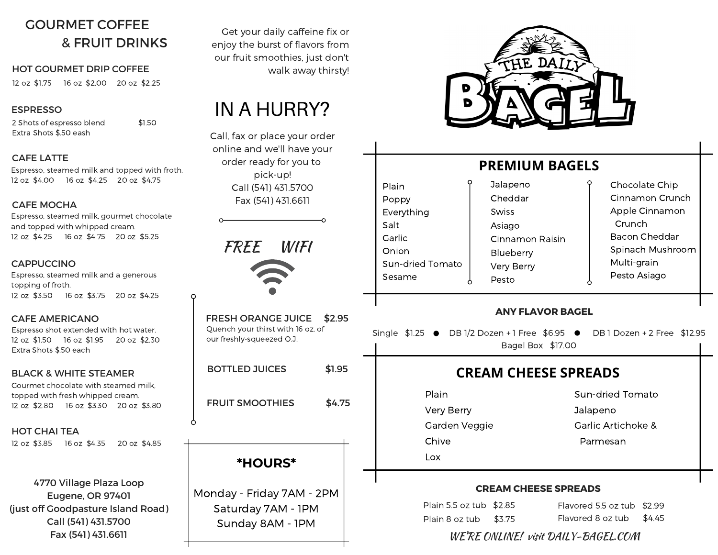# GOURMET COFFEE & FRUIT DRINKS

#### HOT GOURMET DRIP COFFEE walk away thirsty!

12 oz \$1.75 16 oz \$2.00 20 oz \$2.25

#### ESPRESSO

2 Shots of espresso blend \$1.50 Extra Shots \$.50 eash

#### CAFE LATTE

Espresso, steamed milk and topped with froth. 12 oz \$4.00 16 oz \$4.25 20 oz \$4.75

#### CAFE MOCHA

Espresso, steamed milk, gourmet chocolate and topped with whipped cream. 12 oz \$4.25 16 oz \$4.75 20 oz \$5.25

#### **CAPPUCCINO**

Espresso, steamed milk and a generous topping of froth. 12 oz \$3.50 16 oz \$3.75 20 oz \$4.25

#### CAFE AMERICANO

Espresso shot extended with hot water. 12 oz \$1.50 16 oz \$1.95 20 oz \$2.30 Extra Shots \$.50 each

#### BLACK & WHITE STEAMER

Gourmet chocolate with steamed milk, topped with fresh whipped cream. 12 oz \$2.80 16 oz \$3.30 20 oz \$3.80

#### HOT CHAI TEA

12 oz \$3.85 16 oz \$4.35 20 oz \$4.85

4770 Village Plaza Loop Eugene, OR 97401 (just off Goodpasture Island Road) Call (541) 431.5700 Fax (541) 431.6611

Get your daily caffeine fix or enjoy the burst of flavors from our fruit smoothies, just don't

# IN A HURRY?

Call, fax or place your order online and we'll have your order ready for you to pick-up! Call (541) 431.5700 Fax (541) 431.6611

FREE WIFI

O

Ω

| <b>FRESH ORANGE JUICE</b><br>Quench your thirst with 16 oz. of<br>our freshly-squeezed O.J. | \$2.95 |
|---------------------------------------------------------------------------------------------|--------|
| <b>BOTTLED JUICES</b>                                                                       | \$1.95 |
| <b>FRUIT SMOOTHIES</b>                                                                      | \$4.75 |
|                                                                                             |        |
| <b>*HOURS*</b>                                                                              |        |
| . <del>.</del>                                                                              |        |

Monday - Friday 7AM - 2PM Saturday 7AM - 1PM Sunday 8AM - 1PM



# **PREMIUM BAGELS**

DINING IN TOKYO Everything Sun-dried Tomato Sesame Jalapeno Cheddar **Swiss** Asiago Cinnamon Raisin Blueberry Very Berry Pesto Chocolate Chip Cinnamon Crunch Apple Cinnamon Crunch Bacon Cheddar Spinach Mushroom Multi-grain Pesto Asiago

#### **ANY FLAVOR BAGEL**

Single  $$1.25$   $\bullet$  DB 1/2 Dozen + 1 Free  $$6.95$   $\bullet$  DB 1 Dozen + 2 Free  $$12.95$ Bagel Box \$17.00

# **CREAM CHEESE SPREADS**

Plain Very Berry Garden Veggie Chive

Lox

Plain Poppy

Salt **Garlic** Onion

> Sun-dried Tomato Jalapeno Garlic Artichoke & Parmesan

#### **CREAM CHEESE SPREADS**

| Plain 5.5 oz tub \$2.85 | Flavored 5.5 oz tub \$2.99 |  |
|-------------------------|----------------------------|--|
| Plain 8 oz tub \$3.75   | Flavored 8 oz tub $$4.45$  |  |

## WE'RE ONLINE! visit DAILY-BAGEL.COM